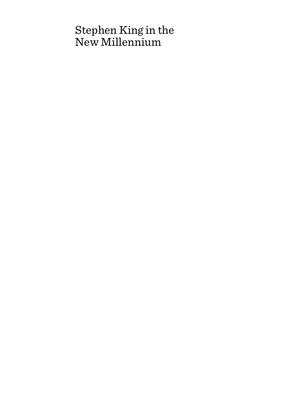# Stephen King in the New Millennium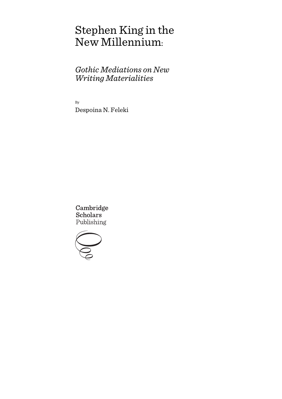# Stephen King in the New Millennium:

# *Gothic Mediations on New Writing Materialities*

By Despoina N. Feleki

Cambridge **Scholars** Publishing

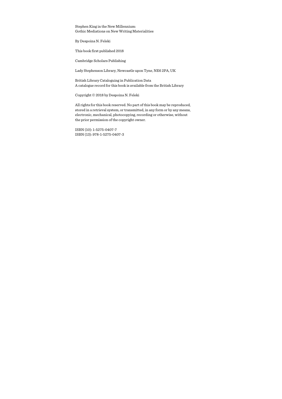Stephen King in the New Millennium: Gothic Mediations on New Writing Materialities

By Despoina N. Feleki

This book first published 2018

Cambridge Scholars Publishing

Lady Stephenson Library, Newcastle upon Tyne, NE6 2PA, UK

British Library Cataloguing in Publication Data A catalogue record for this book is available from the British Library

Copyright © 2018 by Despoina N. Feleki

All rights for this book reserved. No part of this book may be reproduced, stored in a retrieval system, or transmitted, in any form or by any means, electronic, mechanical, photocopying, recording or otherwise, without the prior permission of the copyright owner.

ISBN (10): 1-5275-0407-7 ISBN (13): 978-1-5275-0407-3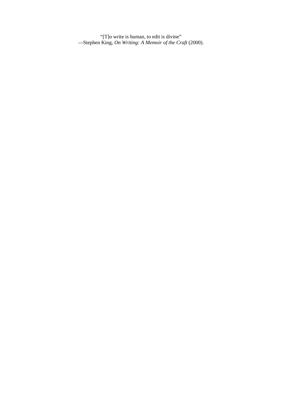"[T]o write is human, to edit is divine" —Stephen King*, On Writing: A Memoir of the Craft* (2000).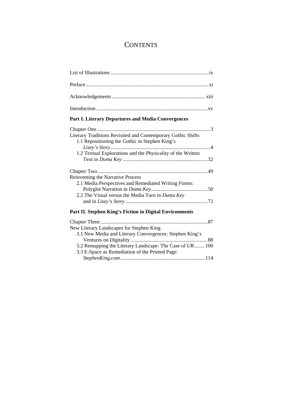# **CONTENTS**

### **Part I. Literary Departures and Media Convergences**

| Literary Traditions Revisited and Contemporary Gothic Shifts |  |
|--------------------------------------------------------------|--|
| 1.1 Repositioning the Gothic in Stephen King's               |  |
|                                                              |  |
| 1.2 Textual Explorations and the Physicality of the Written  |  |
|                                                              |  |
|                                                              |  |
|                                                              |  |
| Reinventing the Narrative Process                            |  |
| 2.1 Media Perspectives and Remediated Writing Forms:         |  |
|                                                              |  |
| 2.2 The Visual versus the Media Turn in Duma Key             |  |
|                                                              |  |
|                                                              |  |

#### **Part II. Stephen King's Fiction in Digital Environments**

| New Literary Landscapes for Stephen King                  |  |
|-----------------------------------------------------------|--|
| 3.1 New Media and Literary Convergences: Stephen King's   |  |
|                                                           |  |
| 3.2 Remapping the Literary Landscape: The Case of UR  100 |  |
| 3.3 E-Space as Remediation of the Printed Page:           |  |
|                                                           |  |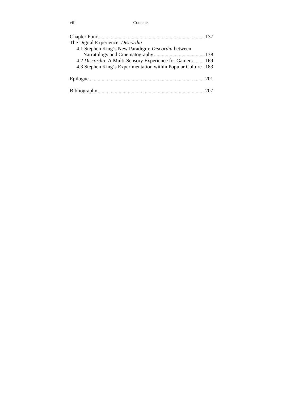#### viii Contents

| The Digital Experience: Discordia                            |  |
|--------------------------------------------------------------|--|
| 4.1 Stephen King's New Paradigm: Discordia between           |  |
|                                                              |  |
| 4.2 Discordia: A Multi-Sensory Experience for Gamers 169     |  |
| 4.3 Stephen King's Experimentation within Popular Culture183 |  |
|                                                              |  |
|                                                              |  |
|                                                              |  |
|                                                              |  |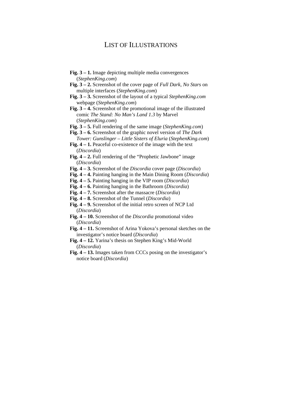## LIST OF ILLUSTRATIONS

- **Fig. 3 1.** Image depicting multiple media convergences (*StephenKing.com*)
- **Fig. 3 2.** Screenshot of the cover page of *Full Dark, No Stars* on multiple interfaces (*StephenKing.com*)
- **Fig. 3 3.** Screenshot of the layout of a typical *StephenKing.com*  webpage (*StephenKing.com*)
- **Fig. 3 4.** Screenshot of the promotional image of the illustrated comic *The Stand: No Man's Land 1.3* by Marvel (*StephenKing.com*)
- **Fig. 3 5.** Full rendering of the same image (*StephenKing.com*)
- **Fig. 3 6.** Screenshot of the graphic novel version of *The Dark Tower: Gunslinger – Little Sisters of Eluria* (*StephenKing.com*)
- **Fig. 4 1.** Peaceful co-existence of the image with the text (*Discordia*)
- Fig. 4 2. Full rendering of the "Prophetic Jawbone" image (*Discordia*)
- **Fig. 4 3.** Screenshot of the *Discordia* cover page (*Discordia*)
- **Fig. 4 4.** Painting hanging in the Main Dining Room (*Discordia*)
- **Fig. 4 5.** Painting hanging in the VIP room (*Discordia*)
- **Fig. 4 6.** Painting hanging in the Bathroom (*Discordia*)
- **Fig. 4 7.** Screenshot after the massacre (*Discordia*)
- **Fig. 4 8.** Screenshot of the Tunnel (*Discordia*)
- **Fig. 4 9.** Screenshot of the initial retro screen of NCP Ltd (*Discordia*)
- **Fig. 4 10.** Screenshot of the *Discordia* promotional video (*Discordia*)
- **Fig. 4 11.** Screenshot of Arina Yokova's personal sketches on the investigator's notice board (*Discordia*)
- **Fig. 4 12.** Yarina's thesis on Stephen King's Mid-World (*Discordia*)
- **Fig. 4 13.** Images taken from CCCs posing on the investigator's notice board (*Discordia*)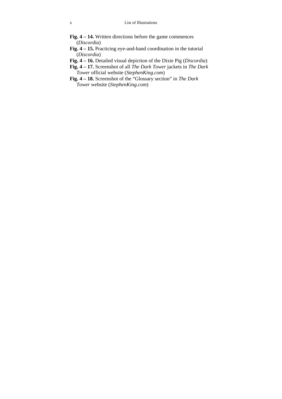- **Fig. 4 14.** Written directions before the game commences (*Discordia*)
- **Fig. 4 15.** Practicing eye-and-hand coordination in the tutorial (*Discordia*)
- **Fig. 4 16.** Detailed visual depiction of the Dixie Pig (*Discordia*)
- **Fig. 4 17.** Screenshot of all *The Dark Tower* jackets in *The Dark Tower* official website (*StephenKing.com*)
- **Fig. 4 18.** Screenshot of the "Glossary section" in *The Dark Tower* website (*StephenKing.com*)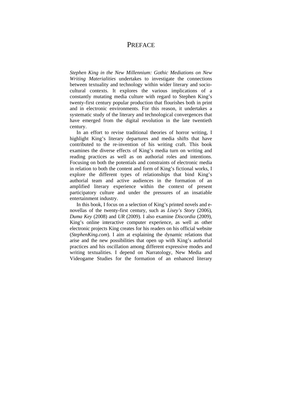# **PREFACE**

*Stephen King in the New Millennium: Gothic Mediations on New Writing Materialities* undertakes to investigate the connections between textuality and technology within wider literary and sociocultural contexts. It explores the various implications of a constantly mutating media culture with regard to Stephen King's twenty-first century popular production that flourishes both in print and in electronic environments. For this reason, it undertakes a systematic study of the literary and technological convergences that have emerged from the digital revolution in the late twentieth century.

In an effort to revise traditional theories of horror writing, I highlight King's literary departures and media shifts that have contributed to the re-invention of his writing craft. This book examines the diverse effects of King's media turn on writing and reading practices as well as on authorial roles and intentions. Focusing on both the potentials and constraints of electronic media in relation to both the content and form of King's fictional works, I explore the different types of relationships that bind King's authorial team and active audiences in the formation of an amplified literary experience within the context of present participatory culture and under the pressures of an insatiable entertainment industry.

In this book, I focus on a selection of King's printed novels and enovellas of the twenty-first century, such as *Lisey's Story* (2006), *Duma Key* (2008) and *UR* (2009). I also examine *Discordia* (2009), King's online interactive computer experience, as well as other electronic projects King creates for his readers on his official website (*StephenKing.com*). I aim at explaining the dynamic relations that arise and the new possibilities that open up with King's authorial practices and his oscillation among different expressive modes and writing textualities. I depend on Narratology, New Media and Videogame Studies for the formation of an enhanced literary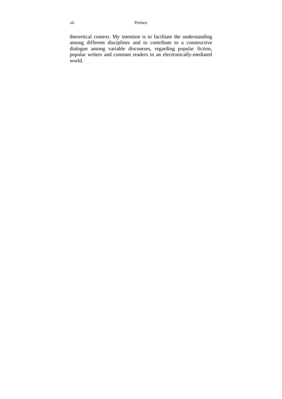theoretical context. My intention is to facilitate the understanding among different disciplines and to contribute to a constructive dialogue among variable discourses, regarding popular fiction, popular writers and constant readers in an electronically-mediated world.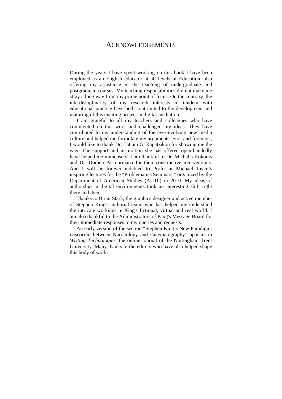### ACKNOWLEDGEMENTS

During the years I have spent working on this book I have been employed as an English educator at all levels of Education, also offering my assistance in the teaching of undergraduate and postgraduate courses. My teaching responsibilities did not make me stray a long way from my prime point of focus. On the contrary, the interdisciplinarity of my research interests in tandem with educational practice have both contributed to the development and maturing of this exciting project in digital mediation.

I am grateful to all my teachers and colleagues who have commented on this work and challenged my ideas. They have contributed to my understanding of the ever-evolving new media culture and helped me formulate my arguments. First and foremost, I would like to thank Dr. Tatiani G. Rapatzikou for showing me the way. The support and inspiration she has offered open-handedly have helped me immensely. I am thankful to Dr. Michalis Kokonis and Dr. Domna Pastourmatzi for their constructive interventions. And I will be forever indebted to Professor Michael Joyce's inspiring lectures for the "Problematics Seminars," organized by the Department of American Studies (AUTh) in 2010. My ideas of authorship in digital environments took an interesting shift right there and then.

Thanks to Brian Stark, the graphics designer and active member of Stephen King's authorial team, who has helped me understand the intricate workings in King's fictional, virtual and real world. I am also thankful to the Administrators of King's Message Board for their immediate responses to my queries and requests.

An early version of the section "Stephen King's New Paradigm: *Discordia* between Narratology and Cinematography" appears in *Writing Technologies*, the online journal of the Nottingham Trent University. Many thanks to the editors who have also helped shape this body of work.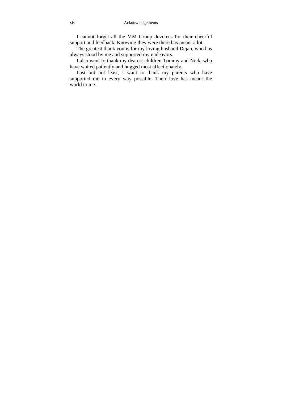I cannot forget all the MM Group devotees for their cheerful support and feedback. Knowing they were there has meant a lot.

The greatest thank you is for my loving husband Dejan, who has always stood by me and supported my endeavors.

I also want to thank my dearest children Tommy and Nick, who have waited patiently and hugged most affectionately.

Last but not least, I want to thank my parents who have supported me in every way possible. Their love has meant the world to me.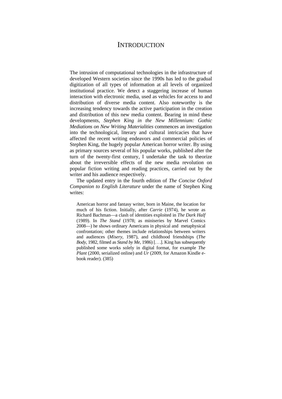# **INTRODUCTION**

The intrusion of computational technologies in the infrastructure of developed Western societies since the 1990s has led to the gradual digitization of all types of information at all levels of organized institutional practice. We detect a staggering increase of human interaction with electronic media, used as vehicles for access to and distribution of diverse media content. Also noteworthy is the increasing tendency towards the active participation in the creation and distribution of this new media content. Bearing in mind these developments, *Stephen King in the New Millennium: Gothic Mediations on New Writing Materialities* commences an investigation into the technological, literary and cultural intricacies that have affected the recent writing endeavors and commercial policies of Stephen King, the hugely popular American horror writer. By using as primary sources several of his popular works, published after the turn of the twenty-first century, I undertake the task to theorize about the irreversible effects of the new media revolution on popular fiction writing and reading practices, carried out by the writer and his audience respectively.

The updated entry in the fourth edition of *The Concise Oxford Companion to English Literature* under the name of Stephen King writes:

American horror and fantasy writer, born in Maine, the location for much of his fiction. Initially, after *Carrie* (1974), he wrote as Richard Bachman—a clash of identities exploited in *The Dark Half* (1989). In *The Stand* (1978; as miniseries by Marvel Comics 2008—) he shows ordinary Americans in physical and metaphysical confrontation; other themes include relationships between writers and audiences (*Misery*, 1987), and childhood friendships (*The Body*, 1982, filmed as *Stand by Me*, 1986) [. . .]. King has subsequently published some works solely in digital format, for example *The Plant* (2000, serialized online) and *Ur* (2009, for Amazon Kindle ebook reader). (385)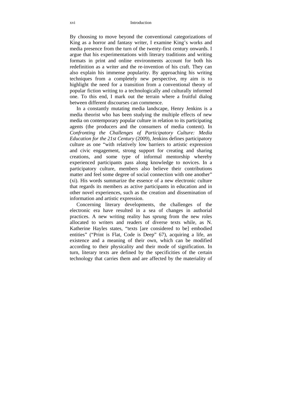By choosing to move beyond the conventional categorizations of King as a horror and fantasy writer, I examine King's works and media presence from the turn of the twenty-first century onwards. I argue that his experimentations with literary traditions and writing formats in print and online environments account for both his redefinition as a writer and the re-invention of his craft. They can also explain his immense popularity. By approaching his writing techniques from a completely new perspective, my aim is to highlight the need for a transition from a conventional theory of popular fiction writing to a technologically and culturally informed one. To this end, I mark out the terrain where a fruitful dialog between different discourses can commence.

In a constantly mutating media landscape, Henry Jenkins is a media theorist who has been studying the multiple effects of new media on contemporary popular culture in relation to its participating agents (the producers and the consumers of media content). In *Confronting the Challenges of Participatory Culture: Media Education for the 21st Century* (2009), Jenkins defines participatory culture as one "with relatively low barriers to artistic expression and civic engagement, strong support for creating and sharing creations, and some type of informal mentorship whereby experienced participants pass along knowledge to novices. In a participatory culture, members also believe their contributions matter and feel some degree of social connection with one another" (xi). His words summarize the essence of a new electronic culture that regards its members as active participants in education and in other novel experiences, such as the creation and dissemination of information and artistic expression.

Concerning literary developments, the challenges of the electronic era have resulted in a sea of changes in authorial practices. A new writing reality has sprung from the new roles allocated to writers and readers of diverse texts while, as N. Katherine Hayles states, "texts [are considered to be] embodied entities" ("Print is Flat, Code is Deep" 67), acquiring a life, an existence and a meaning of their own, which can be modified according to their physicality and their mode of signification. In turn, literary texts are defined by the specificities of the certain technology that carries them and are affected by the materiality of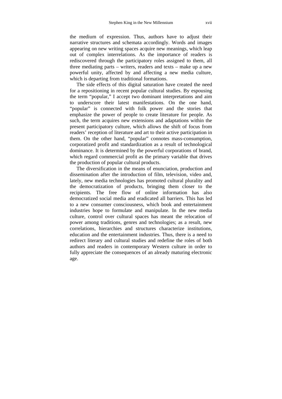the medium of expression. Thus, authors have to adjust their narrative structures and schemata accordingly. Words and images appearing on new writing spaces acquire new meanings, which leap out of complex interrelations. As the importance of readers is rediscovered through the participatory roles assigned to them, all three mediating parts – writers, readers and texts – make up a new powerful unity, affected by and affecting a new media culture, which is departing from traditional formations.

The side effects of this digital saturation have created the need for a repositioning in recent popular cultural studies. By espousing the term "popular," I accept two dominant interpretations and aim to underscore their latest manifestations. On the one hand, "popular" is connected with folk power and the stories that emphasize the power of people to create literature for people. As such, the term acquires new extensions and adaptations within the present participatory culture, which allows the shift of focus from readers' reception of literature and art to their active participation in them. On the other hand, "popular" connotes mass-consumption, corporatized profit and standardization as a result of technological dominance. It is determined by the powerful corporations of brand, which regard commercial profit as the primary variable that drives the production of popular cultural products.

The diversification in the means of enunciation, production and dissemination after the introduction of film, television, video and, lately, new media technologies has promoted cultural plurality and the democratization of products, bringing them closer to the recipients. The free flow of online information has also democratized social media and eradicated all barriers. This has led to a new consumer consciousness, which book and entertainment industries hope to formulate and manipulate. In the new media culture, control over cultural spaces has meant the relocation of power among traditions, genres and technologies; as a result, new correlations, hierarchies and structures characterize institutions, education and the entertainment industries. Thus, there is a need to redirect literary and cultural studies and redefine the roles of both authors and readers in contemporary Western culture in order to fully appreciate the consequences of an already maturing electronic age.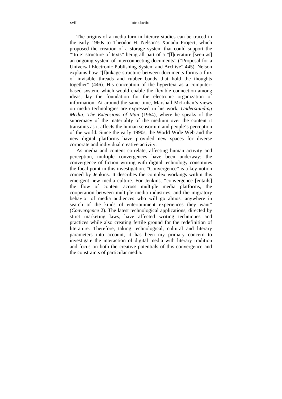The origins of a media turn in literary studies can be traced in the early 1960s to Theodor H. Nelson's Xanadu Project, which proposed the creation of a storage system that could support the "'true' structure of texts" being all part of a "[l]iterature [seen as] an ongoing system of interconnecting documents" ("Proposal for a Universal Electronic Publishing System and Archive" 445). Nelson explains how "[l]inkage structure between documents forms a flux of invisible threads and rubber bands that hold the thoughts together" (446). His conception of the hypertext as a computerbased system, which would enable the flexible connection among ideas, lay the foundation for the electronic organization of information. At around the same time, Marshall McLuhan's views on media technologies are expressed in his work, *Understanding Media: The Extensions of Man* (1964), where he speaks of the supremacy of the materiality of the medium over the content it transmits as it affects the human sensorium and people's perception of the world. Since the early 1990s, the World Wide Web and the new digital platforms have provided new spaces for diverse corporate and individual creative activity.

As media and content correlate, affecting human activity and perception, multiple convergences have been underway; the convergence of fiction writing with digital technology constitutes the focal point in this investigation. "Convergence" is a key notion coined by Jenkins. It describes the complex workings within this emergent new media culture. For Jenkins, "convergence [entails] the flow of content across multiple media platforms, the cooperation between multiple media industries, and the migratory behavior of media audiences who will go almost anywhere in search of the kinds of entertainment experiences they want" (*Convergence* 2). The latest technological applications, directed by strict marketing laws, have affected writing techniques and practices while also creating fertile ground for the redefinition of literature. Therefore, taking technological, cultural and literary parameters into account, it has been my primary concern to investigate the interaction of digital media with literary tradition and focus on both the creative potentials of this convergence and the constraints of particular media.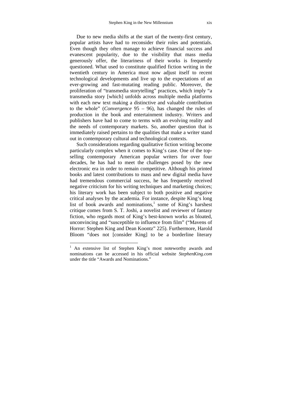Due to new media shifts at the start of the twenty-first century, popular artists have had to reconsider their roles and potentials. Even though they often manage to achieve financial success and evanescent popularity, due to the visibility that mass media generously offer, the literariness of their works is frequently questioned. What used to constitute qualified fiction writing in the twentieth century in America must now adjust itself to recent technological developments and live up to the expectations of an ever-growing and fast-mutating reading public. Moreover, the proliferation of "transmedia storytelling" practices, which imply "a transmedia story [which] unfolds across multiple media platforms with each new text making a distinctive and valuable contribution to the whole" (*Convergence* 95 – 96), has changed the rules of production in the book and entertainment industry. Writers and publishers have had to come to terms with an evolving reality and the needs of contemporary markets. So, another question that is immediately raised pertains to the qualities that make a writer stand out in contemporary cultural and technological contexts.

Such considerations regarding qualitative fiction writing become particularly complex when it comes to King's case. One of the topselling contemporary American popular writers for over four decades, he has had to meet the challenges posed by the new electronic era in order to remain competitive. Although his printed books and latest contributions to mass and new digital media have had tremendous commercial success, he has frequently received negative criticism for his writing techniques and marketing choices; his literary work has been subject to both positive and negative critical analyses by the academia. For instance, despite King's long list of book awards and nominations,<sup>1</sup> some of King's harshest critique comes from S. T. Joshi, a novelist and reviewer of fantasy fiction, who regards most of King's best-known works as bloated, unconvincing and "susceptible to influence from film" ("Mavens of Horror: Stephen King and Dean Koontz" 225). Furthermore, Harold Bloom "does not [consider King] to be a borderline literary

 $\overline{a}$ 

<sup>1</sup> An extensive list of Stephen King's most noteworthy awards and nominations can be accessed in his official website *StephenKing.com*  under the title "Awards and Nominations."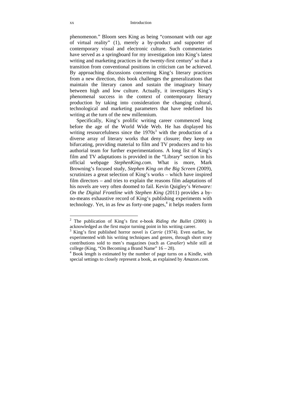phenomenon." Bloom sees King as being "consonant with our age of virtual reality" (1), merely a by-product and supporter of contemporary visual and electronic culture. Such commentaries have served as a springboard for my investigation into King's latest writing and marketing practices in the twenty-first century<sup>2</sup> so that a transition from conventional positions in criticism can be achieved. By approaching discussions concerning King's literary practices from a new direction, this book challenges the generalizations that maintain the literary canon and sustain the imaginary binary between high and low culture. Actually, it investigates King's phenomenal success in the context of contemporary literary production by taking into consideration the changing cultural, technological and marketing parameters that have redefined his writing at the turn of the new millennium.

Specifically, King's prolific writing career commenced long before the age of the World Wide Web. He has displayed his writing resourcefulness since the  $1970s<sup>3</sup>$  with the production of a diverse array of literary works that deny closure; they keep on bifurcating, providing material to film and TV producers and to his authorial team for further experimentations. A long list of King's film and TV adaptations is provided in the "Library" section in his official webpage *StephenKing.com*. What is more, Mark Browning's focused study, *Stephen King on the Big Screen* (2009), scrutinizes a great selection of King's works – which have inspired film directors – and tries to explain the reasons film adaptations of his novels are very often doomed to fail. Kevin Quigley's *Wetware: On the Digital Frontline with Stephen King* (2011) provides a byno-means exhaustive record of King's publishing experiments with technology. Yet, in as few as forty-one pages, $4$  it helps readers form

 2 The publication of King's first e-book *Riding the Bullet* (2000) is acknowledged as the first major turning point in his writing career.

<sup>&</sup>lt;sup>3</sup> King's first published horror novel is *Carrie* (1974). Even earlier, he experimented with his writing techniques and genres, through short story contributions sold to men's magazines (such as *Cavalier*) while still at college (King, "On Becoming a Brand Name" 16 *–* 28). 4

<sup>&</sup>lt;sup>4</sup> Book length is estimated by the number of page turns on a Kindle, with special settings to closely represent a book, as explained by *Amazon.com*.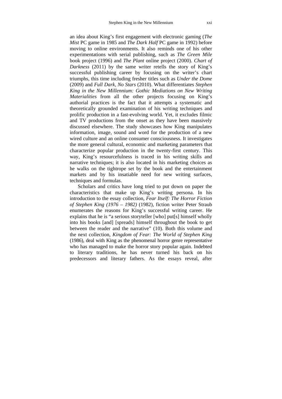an idea about King's first engagement with electronic gaming (*The Mist* PC game in 1985 and *The Dark Half* PC game in 1992) before moving to online environments. It also reminds one of his other experimentations with serial publishing, such as *The Green Mile*  book project (1996) and *The Plant* online project (2000). *Chart of Darkness* (2011) by the same writer retells the story of King's successful publishing career by focusing on the writer's chart triumphs, this time including fresher titles such as *Under the Dome*  (2009) and *Full Dark, No Stars* (2010). What differentiates *Stephen King in the New Millennium: Gothic Mediations on New Writing Materialities* from all the other projects focusing on King's authorial practices is the fact that it attempts a systematic and theoretically grounded examination of his writing techniques and prolific production in a fast-evolving world. Yet, it excludes filmic and TV productions from the onset as they have been massively discussed elsewhere. The study showcases how King manipulates information, image, sound and word for the production of a new wired culture and an online consumer consciousness. It investigates the more general cultural, economic and marketing parameters that characterize popular production in the twenty-first century. This way, King's resourcefulness is traced in his writing skills and narrative techniques; it is also located in his marketing choices as he walks on the tightrope set by the book and the entertainment markets and by his insatiable need for new writing surfaces, techniques and formulas.

 Scholars and critics have long tried to put down on paper the characteristics that make up King's writing persona. In his introduction to the essay collection, *Fear Itself: The Horror Fiction of Stephen King (1976 – 1982)* (1982), fiction writer Peter Straub enumerates the reasons for King's successful writing career. He explains that he is "a serious storyteller [who] put[s] himself wholly into his books [and] [spreads] himself throughout the book to get between the reader and the narrative" (10). Both this volume and the next collection, *Kingdom of Fear: The World of Stephen King* (1986), deal with King as the phenomenal horror genre representative who has managed to make the horror story popular again. Indebted to literary traditions, he has never turned his back on his predecessors and literary fathers. As the essays reveal, after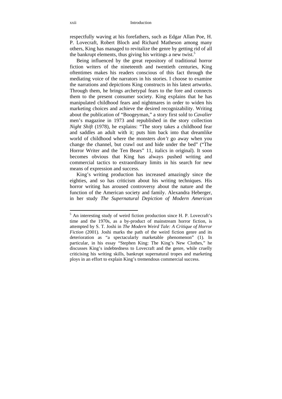respectfully waving at his forefathers, such as Edgar Allan Poe, H. P. Lovecraft, Robert Bloch and Richard Matheson among many others, King has managed to revitalize the genre by getting rid of all the bankrupt elements, thus giving his writings a new twist.<sup>5</sup>

Being influenced by the great repository of traditional horror fiction writers of the nineteenth and twentieth centuries, King oftentimes makes his readers conscious of this fact through the mediating voice of the narrators in his stories. I choose to examine the narrations and depictions King constructs in his latest artworks. Through them, he brings archetypal fears to the fore and connects them to the present consumer society. King explains that he has manipulated childhood fears and nightmares in order to widen his marketing choices and achieve the desired recognizability. Writing about the publication of "Boogeyman," a story first sold to *Cavalier*  men's magazine in 1973 and republished in the story collection *Night Shift* (1978), he explains: "The story takes a childhood fear and saddles an adult with it; puts him back into that dreamlike world of childhood where the monsters *don't* go away when you change the channel, but crawl out and hide under the bed" ("The Horror Writer and the Ten Bears" 11, italics in original). It soon becomes obvious that King has always pushed writing and commercial tactics to extraordinary limits in his search for new means of expression and success.

King's writing production has increased amazingly since the eighties, and so has criticism about his writing techniques. His horror writing has aroused controversy about the nature and the function of the American society and family. Alexandra Heberger, in her study *The Supernatural Depiction of Modern American* 

<sup>&</sup>lt;sup>5</sup> An interesting study of weird fiction production since H. P. Lovecraft's time and the 1970s, as a by-product of mainstream horror fiction, is attempted by S. T. Joshi in *The Modern Weird Tale: A Critique of Horror Fiction* (2001)*.* Joshi marks the path of the weird fiction genre and its deterioration as "a spectacularly marketable phenomenon" (1)*.* In particular, in his essay "Stephen King: The King's New Clothes," he discusses King's indebtedness to Lovecraft and the genre, while cruelly criticising his writing skills, bankrupt supernatural tropes and marketing ploys in an effort to explain King's tremendous commercial success.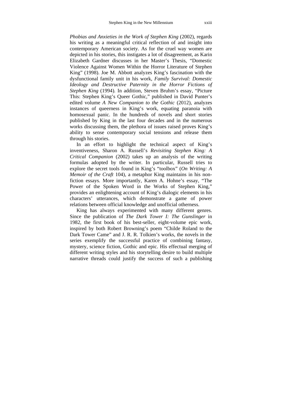*Phobias and Anxieties in the Work of Stephen King (2002), regards* his writing as a meaningful critical reflection of and insight into contemporary American society*.* As for the cruel way women are depicted in his stories, this instigates a lot of disagreement, as Karin Elizabeth Gardner discusses in her Master's Thesis, "Domestic Violence Against Women Within the Horror Literature of Stephen King" (1998). Joe M. Abbott analyzes King's fascination with the dysfunctional family unit in his work, *Family Survival: Domestic Ideology and Destructive Paternity in the Horror Fictions of Stephen King* (1994)*.* In addition, Steven Bruhm's essay, "Picture This: Stephen King's Queer Gothic," published in David Punter's edited volume *A New Companion to the Gothic* (2012), analyzes instances of queerness in King's work, equating paranoia with homosexual panic. In the hundreds of novels and short stories published by King in the last four decades and in the numerous works discussing them, the plethora of issues raised proves King's ability to sense contemporary social tensions and release them through his stories.

In an effort to highlight the technical aspect of King's inventiveness, Sharon A. Russell's *Revisiting Stephen King: A Critical Companion* (2002) takes up an analysis of the writing formulas adopted by the writer. In particular, Russell tries to explore the secret tools found in King's "toolbox" (*On Writing: A Memoir of the Craft* 104), a metaphor King maintains in his nonfiction essays*.* More importantly, Karen A. Hohne's essay, "The Power of the Spoken Word in the Works of Stephen King," provides an enlightening account of King's dialogic elements in his characters' utterances, which demonstrate a game of power relations between official knowledge and unofficial otherness.

King has always experimented with many different genres. Since the publication of *The Dark Tower I: The Gunslinger* in 1982, the first book of his best-seller, eight-volume epic work, inspired by both Robert Browning's poem "Childe Roland to the Dark Tower Came" and J. R. R. Tolkien's works, the novels in the series exemplify the successful practice of combining fantasy, mystery, science fiction, Gothic and epic. His effectual merging of different writing styles and his storytelling desire to build multiple narrative threads could justify the success of such a publishing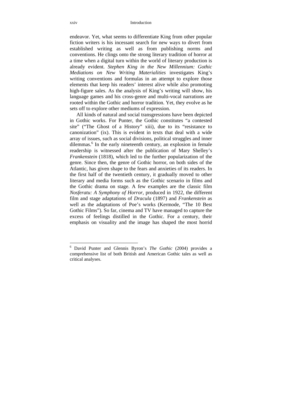endeavor. Yet, what seems to differentiate King from other popular fiction writers is his incessant search for new ways to divert from established writing as well as from publishing norms and conventions. He clings onto the strong literary tradition of horror at a time when a digital turn within the world of literary production is already evident. *Stephen King in the New Millennium: Gothic Mediations on New Writing Materialities* investigates King's writing conventions and formulas in an attempt to explore those elements that keep his readers' interest alive while also promoting high-figure sales. As the analysis of King's writing will show, his language games and his cross-genre and multi-vocal narrations are rooted within the Gothic and horror tradition. Yet, they evolve as he sets off to explore other mediums of expression.

All kinds of natural and social transgressions have been depicted in Gothic works. For Punter, the Gothic constitutes "a contested site" ("The Ghost of a History" xiii), due to its "resistance to canonization" (ix). This is evident in texts that deal with a wide array of issues, such as social divisions, political struggles and inner dilemmas.<sup>6</sup> In the early nineteenth century, an explosion in female readership is witnessed after the publication of Mary Shelley's *Frankenstein* (1818), which led to the further popularization of the genre. Since then, the genre of Gothic horror, on both sides of the Atlantic, has given shape to the fears and anxieties of its readers. In the first half of the twentieth century, it gradually moved to other literary and media forms such as the Gothic scenario in films and the Gothic drama on stage. A few examples are the classic film *Nosferatu: A Symphony of Horror*, produced in 1922, the different film and stage adaptations of *Dracula* (1897) and *Frankenstein* as well as the adaptations of Poe's works (Kermode, "The 10 Best Gothic Films")*.* So far, cinema and TV have managed to capture the excess of feelings distilled in the Gothic. For a century, their emphasis on visuality and the image has shaped the most horrid

 $\overline{a}$ 

<sup>6</sup> David Punter and Glennis Byron's *The Gothic* (2004) provides a comprehensive list of both British and American Gothic tales as well as critical analyses.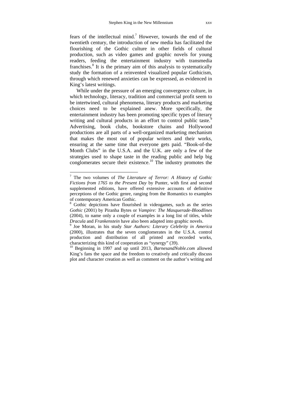fears of the intellectual mind.<sup>7</sup> However, towards the end of the twentieth century, the introduction of new media has facilitated the flourishing of the Gothic culture in other fields of cultural production, such as video games and graphic novels for young readers, feeding the entertainment industry with transmedia franchises.<sup>8</sup> It is the primary aim of this analysis to systematically study the formation of a reinvented visualized popular Gothicism, through which renewed anxieties can be expressed, as evidenced in King's latest writings.

While under the pressure of an emerging convergence culture, in which technology, literacy, tradition and commercial profit seem to be intertwined, cultural phenomena, literary products and marketing choices need to be explained anew. More specifically, the entertainment industry has been promoting specific types of literary writing and cultural products in an effort to control public taste.<sup>9</sup> Advertising, book clubs, bookstore chains and Hollywood productions are all parts of a well-organized marketing mechanism that makes the most out of popular writers and their works, ensuring at the same time that everyone gets paid. "Book-of-the Month Clubs" in the U.S.A. and the U.K. are only a few of the strategies used to shape taste in the reading public and help big conglomerates secure their existence.<sup>10</sup> The industry promotes the

1

<sup>7</sup> The two volumes of *The Literature of Terror: A History of Gothic Fictions from 1765 to the Present Day* by Punter, with first and second supplemented editions, have offered extensive accounts of definitive perceptions of the Gothic genre, ranging from the Romantics to examples of contemporary American Gothic.

<sup>&</sup>lt;sup>8</sup> Gothic depictions have flourished in videogames, such as the series *Gothic* (2001) by Piranha Bytes or *Vampire: The Masquerade*-*Bloodlines*  (2004), to name only a couple of examples in a long list of titles, while *Dracula* and *Frankenstein* have also been adapted into graphic novels.

<sup>&</sup>lt;sup>9</sup> Joe Moran, in his study *Star Authors: Literary Celebrity in America* (2000), illustrates that the seven conglomerates in the U.S.A. control production and distribution of all printed and recorded works, characterizing this kind of cooperation as "synergy" (39). 10 Beginning in 1997 and up until 2013, *BarnesandNoble.com* allowed

King's fans the space and the freedom to creatively and critically discuss plot and character creation as well as comment on the author's writing and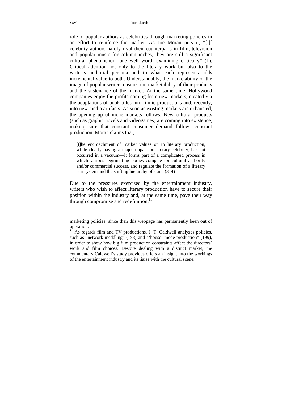role of popular authors as celebrities through marketing policies in an effort to reinforce the market. As Joe Moran puts it*,* "[i]f celebrity authors hardly rival their counterparts in film, television and popular music for column inches, they are still a significant cultural phenomenon, one well worth examining critically" (1). Critical attention not only to the literary work but also to the writer's authorial persona and to what each represents adds incremental value to both. Understandably, the marketability of the image of popular writers ensures the marketability of their products and the sustenance of the market. At the same time, Hollywood companies enjoy the profits coming from new markets, created via the adaptations of book titles into filmic productions and, recently, into new media artifacts. As soon as existing markets are exhausted, the opening up of niche markets follows. New cultural products (such as graphic novels and videogames) are coming into existence, making sure that constant consumer demand follows constant production. Moran claims that,

[t]he encroachment of market values on to literary production, while clearly having a major impact on literary celebrity, has not occurred in a vacuum—it forms part of a complicated process in which various legitimating bodies compete for cultural authority and/or commercial success, and regulate the formation of a literary star system and the shifting hierarchy of stars. (3–4)

Due to the pressures exercised by the entertainment industry, writers who wish to affect literary production have to secure their position within the industry and, at the same time, pave their way through compromise and redefinition. $^{11}$ 

 $\overline{a}$ 

marketing policies; since then this webpage has permanently been out of operation.

 $11$ <sup>11</sup> As regards film and TV productions, J. T. Caldwell analyzes policies, such as "network meddling" (198) and "'house' mode production" (199), in order to show how big film production constraints affect the directors' work and film choices. Despite dealing with a distinct market, the commentary Caldwell's study provides offers an insight into the workings of the entertainment industry and its liaise with the cultural scene.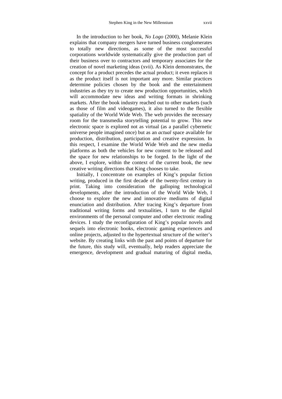In the introduction to her book, *No Logo* (2000), Melanie Klein explains that company mergers have turned business conglomerates to totally new directions, as some of the most successful corporations worldwide systematically give the production part of their business over to contractors and temporary associates for the creation of novel marketing ideas (xvii). As Klein demonstrates, the concept for a product precedes the actual product; it even replaces it as the product itself is not important any more. Similar practices determine policies chosen by the book and the entertainment industries as they try to create new production opportunities, which will accommodate new ideas and writing formats in shrinking markets. After the book industry reached out to other markets (such as those of film and videogames), it also turned to the flexible spatiality of the World Wide Web. The web provides the necessary room for the transmedia storytelling potential to grow. This new electronic space is explored not as virtual (as a parallel cybernetic universe people imagined once) but as an *actual* space available for production, distribution, participation and creative expression. In this respect, I examine the World Wide Web and the new media platforms as both the vehicles for new content to be released and the space for new relationships to be forged. In the light of the above, I explore, within the context of the current book, the new creative writing directions that King chooses to take.

Initially, I concentrate on examples of King's popular fiction writing, produced in the first decade of the twenty-first century in print. Taking into consideration the galloping technological developments, after the introduction of the World Wide Web, I choose to explore the new and innovative mediums of digital enunciation and distribution. After tracing King's departure from traditional writing forms and textualities, I turn to the digital environments of the personal computer and other electronic reading devices. I study the reconfiguration of King's popular novels and sequels into electronic books, electronic gaming experiences and online projects, adjusted to the hypertextual structure of the writer's website. By creating links with the past and points of departure for the future, this study will, eventually, help readers appreciate the emergence, development and gradual maturing of digital media,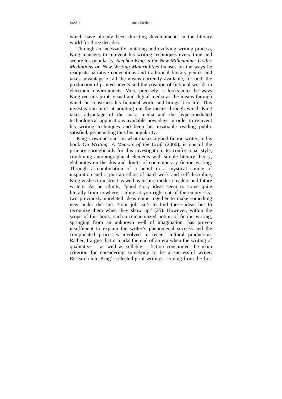which have already been directing developments in the literary world for three decades.

Through an incessantly mutating and evolving writing process, King manages to reinvent his writing techniques every time and secure his popularity. *Stephen King in the New Millennium: Gothic Mediations on New Writing Materialities* focuses on the ways he readjusts narrative conventions and traditional literary genres and takes advantage of all the means currently available, for both the production of printed novels and the creation of fictional worlds in electronic environments. More precisely, it looks into the ways King recruits print, visual and digital media as the means through which he constructs his fictional world and brings it to life. This investigation aims at pointing out the means through which King takes advantage of the mass media and the hyper-mediated technological applications available nowadays in order to reinvent his writing techniques and keep his insatiable reading public satisfied, perpetuating thus his popularity.

King's own account on what makes a good fiction writer, in his book *On Writing: A Memoir of the Craft* (2000), is one of the primary springboards for this investigation. Its confessional style, combining autobiographical elements with simple literary theory, elaborates on the dos and don'ts of contemporary fiction writing. Through a combination of a belief in a mystical source of inspiration and a puritan ethos of hard work and self-discipline, King wishes to instruct as well as inspire modern readers and future writers. As he admits, "good story ideas seem to come quite literally from nowhere, sailing at you right out of the empty sky: two previously unrelated ideas come together to make something new under the sun. Your job isn't to find these ideas but to recognize them when they show up" (25). However, within the scope of this book, such a romanticized notion of fiction writing, springing from an unknown well of imagination, has proven insufficient to explain the writer's phenomenal success and the complicated processes involved in recent cultural production. Rather, I argue that it marks the end of an era when the writing of qualitative – as well as sellable – fiction constituted the main criterion for considering somebody to be a successful writer. Research into King's selected print writings, coming from the first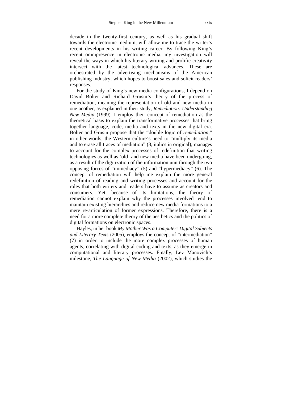decade in the twenty-first century, as well as his gradual shift towards the electronic medium, will allow me to trace the writer's recent developments in his writing career. By following King's recent omnipresence in electronic media, my investigation will reveal the ways in which his literary writing and prolific creativity intersect with the latest technological advances. These are orchestrated by the advertising mechanisms of the American publishing industry, which hopes to boost sales and solicit readers' responses.

For the study of King's new media configurations, I depend on David Bolter and Richard Grusin's theory of the process of remediation, meaning the representation of old and new media in one another, as explained in their study, *Remediation: Understanding New Media* (1999). I employ their concept of remediation as the theoretical basis to explain the transformative processes that bring together language, code, media and texts in the new digital era. Bolter and Grusin propose that the "double logic of *remediation*," in other words, the Western culture's need to "multiply its media and to erase all traces of mediation" (3, italics in original), manages to account for the complex processes of redefinition that writing technologies as well as 'old' and new media have been undergoing, as a result of the digitization of the information unit through the two opposing forces of "immediacy" (5) and "hypermediacy" (6). The concept of remediation will help me explain the more general redefinition of reading and writing processes and account for the roles that both writers and readers have to assume as creators and consumers. Yet, because of its limitations, the theory of remediation cannot explain why the processes involved tend to maintain existing hierarchies and reduce new media formations to a mere re-articulation of former expressions. Therefore, there is a need for a more complete theory of the aesthetics and the politics of digital formations on electronic spaces.

Hayles, in her book *My Mother Was a Computer: Digital Subjects and Literary Texts* (2005), employs the concept of "intermediation" (7) in order to include the more complex processes of human agents, correlating with digital coding and texts, as they emerge in computational and literary processes. Finally, Lev Manovich's milestone, *The Language of New Media* (2002), which studies the